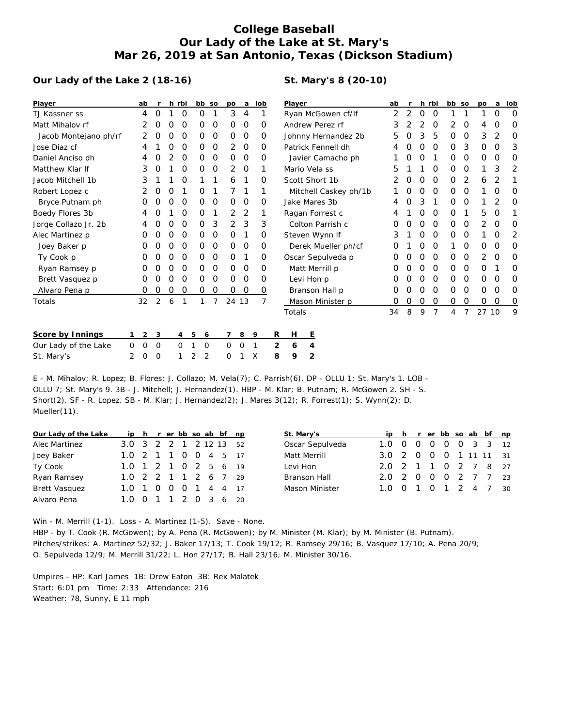## **College Baseball Our Lady of the Lake at St. Mary's Mar 26, 2019 at San Antonio, Texas (Dickson Stadium)**

## **Our Lady of the Lake 2 (18-16)**

## **St. Mary's 8 (20-10)**

| Player                | ab |                  |             |          | h rbi          | bb so       |   | po       | a              | lob      |   | Player              |                  |                       | ab |   |          | h rbi    |          | bb so    | po    | a | lob |
|-----------------------|----|------------------|-------------|----------|----------------|-------------|---|----------|----------------|----------|---|---------------------|------------------|-----------------------|----|---|----------|----------|----------|----------|-------|---|-----|
| TJ Kassner ss         |    | 4                | $\Omega$    |          | O              | Ο           |   | 3        | $\overline{4}$ |          |   | Ryan McGowen cf/lf  |                  |                       | 2  | 2 | 0        | 0        |          |          |       | O | O   |
| Matt Mihalov rf       |    |                  | O           |          | O              | Ο           | O | $\Omega$ | $\Omega$       | O        |   | Andrew Perez rf     |                  |                       | 3  |   | 2        | O        | 2        | O        | 4     | O | O   |
| Jacob Montejano ph/rf |    |                  | O           | O        | $\Omega$       | 0           | 0 | $\Omega$ | 0              | $\Omega$ |   | Johnny Hernandez 2b |                  |                       | 5  | Ο | 3        | 5        | 0        | 0        | 3     | 2 | O   |
| Jose Diaz cf          |    |                  |             |          | O              | 0           | 0 | 2        | $\Omega$       | O        |   | Patrick Fennell dh  |                  |                       |    |   | Ο        | $\Omega$ | $\Omega$ | 3        | 0     | O | 3   |
| Daniel Anciso dh      |    | 4                | O           |          | $\Omega$       | 0           | 0 | $\Omega$ | 0              | O        |   | Javier Camacho ph   |                  |                       |    |   | Ο        |          | 0        | 0        | O     | 0 | 0   |
| Matthew Klar If       |    | 3                | O           |          | O              | 0           | 0 | 2        | $\Omega$       | 1        |   | Mario Vela ss       |                  |                       |    |   |          | O        | $\Omega$ | $\Omega$ |       | 3 | 2   |
| Jacob Mitchell 1b     |    | 3                |             |          | O              |             |   | 6        |                | O        |   | Scott Short 1b      |                  |                       |    | O | Ο        | $\Omega$ | $\Omega$ | 2        | 6     | 2 |     |
| Robert Lopez c        |    |                  | O           |          |                | Ο           |   |          |                |          |   |                     |                  | Mitchell Caskey ph/1b |    |   | Ο        | O        | $\Omega$ | O        |       | O | O   |
| Bryce Putnam ph       |    | Ο                |             |          | O              | Ο           | 0 | $\Omega$ | 0              | 0        |   | Jake Mares 3b       |                  |                       |    |   | 3        |          | 0        | 0        |       | 2 | O   |
| Boedy Flores 3b       |    | 4                |             |          | O              | 0           | 1 | 2        | 2              | 1        |   | Ragan Forrest c     |                  |                       |    |   | Ο        | 0        | $\Omega$ |          | 5     | O | 1   |
| Jorge Collazo Jr. 2b  |    | 4                |             | $\left($ | $\Omega$       | 0           | 3 | 2        | 3              | 3        |   | Colton Parrish c    |                  | O                     | Ο  | 0 | 0        | 0        | 0        | 2        | O     | 0 |     |
| Alec Martinez p       |    | $\left( \right)$ |             |          | O              | 0           | 0 | $\Omega$ |                | 0        |   | Steven Wynn If      |                  | 3                     |    | Ο | O        | 0        | O        |          | O     | 2 |     |
| Joey Baker p          |    | 0                | O           | O        | O              | 0           | 0 | $\Omega$ | 0              | 0        |   | Derek Mueller ph/cf |                  |                       | Ο  |   | Ο        | 0        |          | 0        | O     | 0 | 0   |
| Ty Cook p             |    | O                |             |          | O              | 0           | 0 | $\Omega$ |                | $\Omega$ |   | Oscar Sepulveda p   |                  |                       |    |   | Ο        | O        | 0        | 0        | 2     | O | 0   |
| Ryan Ramsey p         |    | 0                | O           | $\Omega$ | $\Omega$       | 0           | 0 | $\Omega$ | $\Omega$       | $\Omega$ |   | Matt Merrill p      |                  |                       | O  | Ο | 0        | 0        | 0        | 0        | 0     |   | 0   |
| Brett Vasquez p       |    | 0                | O           |          | O              | 0           | 0 | $\Omega$ | 0              | 0        |   | Levi Hon p          |                  | O                     |    | 0 | 0        | 0        | 0        | 0        | 0     | 0 |     |
| Alvaro Pena p         |    | 0                | O           | 0        | 0              | 0           | 0 | 0        | 0              | 0        |   | Branson Hall p      |                  | O                     |    | Ο | $\Omega$ | 0        | 0        | 0        | O     | O |     |
| Totals                | 32 |                  | 2           | 6        |                | 1           | 7 | 24 13    |                | 7        |   |                     | Mason Minister p |                       | 0  | 0 | 0        | 0        | 0        | 0        | 0     | 0 | 0   |
|                       |    |                  |             |          |                |             |   |          |                |          |   | Totals              |                  |                       | 34 | 8 | 9        | 7        | 4        | 7        | 27 10 |   | 9   |
| Score by Innings      |    | $\overline{2}$   | 3           |          | $\overline{4}$ | 5<br>6      |   |          | 8              | 9        | R | Н                   | Ε                |                       |    |   |          |          |          |          |       |   |     |
| Our Lady of the Lake  | 0  | $\mathbf 0$      | $\mathbf 0$ |          | 0              | $\mathbf 0$ |   | 0        | 0              | 1        | 2 | 6                   | 4                |                       |    |   |          |          |          |          |       |   |     |

E - M. Mihalov; R. Lopez; B. Flores; J. Collazo; M. Vela(7); C. Parrish(6). DP - OLLU 1; St. Mary's 1. LOB - OLLU 7; St. Mary's 9. 3B - J. Mitchell; J. Hernandez(1). HBP - M. Klar; B. Putnam; R. McGowen 2. SH - S. Short(2). SF - R. Lopez. SB - M. Klar; J. Hernandez(2); J. Mares 3(12); R. Forrest(1); S. Wynn(2); D. Mueller(11).

St. Mary's 2 0 0 1 2 2 0 1 X **8 9 2**

| Our Lady of the Lake | ip h r er bb so ab bf np |  |  |  |  | St. Mary's      |                        |  |  |  | ip h r er bb so ab bf np |  |
|----------------------|--------------------------|--|--|--|--|-----------------|------------------------|--|--|--|--------------------------|--|
| Alec Martinez        | 3.0 3 2 2 1 2 12 13 52   |  |  |  |  | Oscar Sepulveda | 1.0 0 0 0 0 0 3 3 12   |  |  |  |                          |  |
| Joey Baker           | 1.0 2 1 1 0 0 4 5 17     |  |  |  |  | Matt Merrill    | 3.0 2 0 0 0 1 11 11 31 |  |  |  |                          |  |
| Ty Cook              | 1.0 1 2 1 0 2 5 6 19     |  |  |  |  | Levi Hon        | 2.0 2 1 1 0 2 7 8 27   |  |  |  |                          |  |
| Ryan Ramsey          | 1.0 2 2 1 1 2 6 7 29     |  |  |  |  | Branson Hall    | 2.0 2 0 0 0 2 7 7 23   |  |  |  |                          |  |
| <b>Brett Vasquez</b> | 1.0 1 0 0 0 1 4 4 17     |  |  |  |  | Mason Minister  | 1.0 0 1 0 1 2 4 7 30   |  |  |  |                          |  |
| Alvaro Pena          | 1.0 0 1 1 2 0 3 6 20     |  |  |  |  |                 |                        |  |  |  |                          |  |

Win - M. Merrill (1-1). Loss - A. Martinez (1-5). Save - None. HBP - by T. Cook (R. McGowen); by A. Pena (R. McGowen); by M. Minister (M. Klar); by M. Minister (B. Putnam). Pitches/strikes: A. Martinez 52/32; J. Baker 17/13; T. Cook 19/12; R. Ramsey 29/16; B. Vasquez 17/10; A. Pena 20/9; O. Sepulveda 12/9; M. Merrill 31/22; L. Hon 27/17; B. Hall 23/16; M. Minister 30/16.

Umpires - HP: Karl James 1B: Drew Eaton 3B: Rex Malatek Start: 6:01 pm Time: 2:33 Attendance: 216 Weather: 78, Sunny, E 11 mph